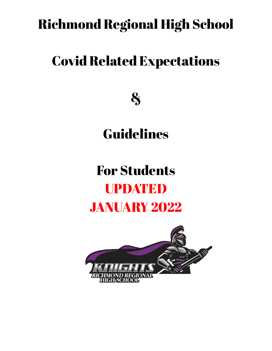## Richmond Regional High School

## Covid Related Expectations

&

Guidelines

## For Students UPDATED JANUARY 2022